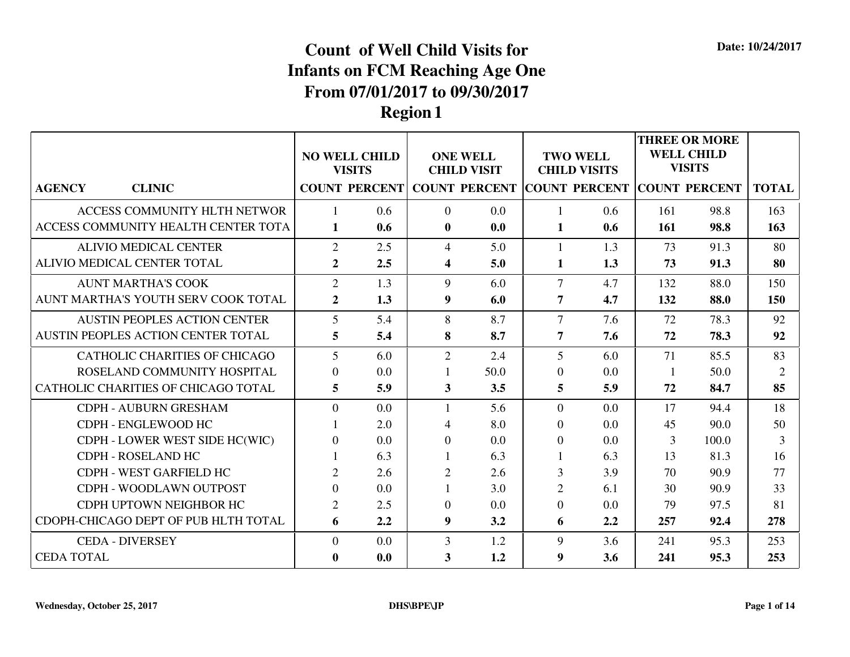|                                      |                | <b>NO WELL CHILD</b><br><b>VISITS</b> |                | <b>ONE WELL</b><br><b>CHILD VISIT</b> |                  | <b>TWO WELL</b><br><b>CHILD VISITS</b>    |     | <b>THREE OR MORE</b><br><b>WELL CHILD</b><br><b>VISITS</b> |                |
|--------------------------------------|----------------|---------------------------------------|----------------|---------------------------------------|------------------|-------------------------------------------|-----|------------------------------------------------------------|----------------|
| <b>AGENCY</b><br><b>CLINIC</b>       |                | <b>COUNT PERCENT</b>                  |                |                                       |                  | COUNT PERCENT COUNT PERCENT COUNT PERCENT |     |                                                            | <b>TOTAL</b>   |
| ACCESS COMMUNITY HLTH NETWOR         |                | 0.6                                   | $\Omega$       | 0.0                                   | $\mathbf{1}$     | 0.6                                       | 161 | 98.8                                                       | 163            |
| ACCESS COMMUNITY HEALTH CENTER TOTA  | 1              | 0.6                                   | $\mathbf{0}$   | 0.0                                   | 1                | 0.6                                       | 161 | 98.8                                                       | 163            |
| <b>ALIVIO MEDICAL CENTER</b>         | $\overline{2}$ | 2.5                                   | $\overline{4}$ | 5.0                                   | $\mathbf{1}$     | 1.3                                       | 73  | 91.3                                                       | 80             |
| ALIVIO MEDICAL CENTER TOTAL          | $\overline{2}$ | 2.5                                   | 4              | 5.0                                   | 1                | 1.3                                       | 73  | 91.3                                                       | 80             |
| <b>AUNT MARTHA'S COOK</b>            | $\overline{2}$ | 1.3                                   | 9              | 6.0                                   | $\overline{7}$   | 4.7                                       | 132 | 88.0                                                       | 150            |
| AUNT MARTHA'S YOUTH SERV COOK TOTAL  | $\overline{2}$ | 1.3                                   | 9              | 6.0                                   | 7                | 4.7                                       | 132 | 88.0                                                       | 150            |
| <b>AUSTIN PEOPLES ACTION CENTER</b>  | $\overline{5}$ | 5.4                                   | 8              | 8.7                                   | $\overline{7}$   | 7.6                                       | 72  | 78.3                                                       | 92             |
| AUSTIN PEOPLES ACTION CENTER TOTAL   | 5              | 5.4                                   | 8              | 8.7                                   | $\overline{7}$   | 7.6                                       | 72  | 78.3                                                       | 92             |
| <b>CATHOLIC CHARITIES OF CHICAGO</b> | 5              | 6.0                                   | $\overline{2}$ | 2.4                                   | 5                | 6.0                                       | 71  | 85.5                                                       | 83             |
| ROSELAND COMMUNITY HOSPITAL          | $\Omega$       | 0.0                                   |                | 50.0                                  | $\theta$         | 0.0                                       | -1  | 50.0                                                       | $\overline{2}$ |
| CATHOLIC CHARITIES OF CHICAGO TOTAL  | 5              | 5.9                                   | 3              | 3.5                                   | 5                | 5.9                                       | 72  | 84.7                                                       | 85             |
| <b>CDPH - AUBURN GRESHAM</b>         | $\overline{0}$ | 0.0                                   |                | 5.6                                   | $\overline{0}$   | 0.0                                       | 17  | 94.4                                                       | 18             |
| CDPH - ENGLEWOOD HC                  |                | 2.0                                   | 4              | 8.0                                   | $\Omega$         | 0.0                                       | 45  | 90.0                                                       | 50             |
| CDPH - LOWER WEST SIDE HC(WIC)       | $\Omega$       | 0.0                                   | $\Omega$       | 0.0                                   | $\overline{0}$   | 0.0                                       | 3   | 100.0                                                      | $\mathbf{3}$   |
| CDPH - ROSELAND HC                   |                | 6.3                                   |                | 6.3                                   | $\mathbf{1}$     | 6.3                                       | 13  | 81.3                                                       | 16             |
| CDPH - WEST GARFIELD HC              | $\overline{2}$ | 2.6                                   | 2              | 2.6                                   | 3                | 3.9                                       | 70  | 90.9                                                       | 77             |
| CDPH - WOODLAWN OUTPOST              | $\Omega$       | 0.0                                   |                | 3.0                                   | $\overline{2}$   | 6.1                                       | 30  | 90.9                                                       | 33             |
| CDPH UPTOWN NEIGHBOR HC              | $\overline{2}$ | 2.5                                   | $\theta$       | 0.0                                   | $\overline{0}$   | 0.0                                       | 79  | 97.5                                                       | 81             |
| CDOPH-CHICAGO DEPT OF PUB HLTH TOTAL | 6              | 2.2                                   | 9              | 3.2                                   | 6                | 2.2                                       | 257 | 92.4                                                       | 278            |
| <b>CEDA - DIVERSEY</b>               | $\overline{0}$ | 0.0                                   | 3              | 1.2                                   | 9                | 3.6                                       | 241 | 95.3                                                       | 253            |
| <b>CEDA TOTAL</b>                    | $\mathbf{0}$   | 0.0                                   | 3              | 1.2                                   | $\boldsymbol{9}$ | 3.6                                       | 241 | 95.3                                                       | 253            |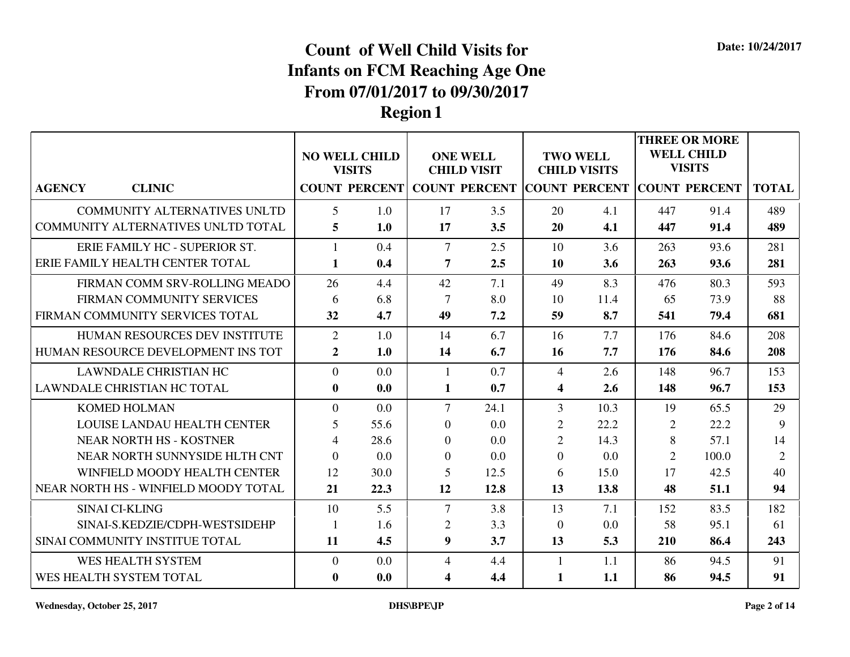|                                      |                 |                                       |                |                                                  |                |                                        |                | <b>THREE OR MORE</b>               |                |
|--------------------------------------|-----------------|---------------------------------------|----------------|--------------------------------------------------|----------------|----------------------------------------|----------------|------------------------------------|----------------|
|                                      |                 | <b>NO WELL CHILD</b><br><b>VISITS</b> |                | <b>ONE WELL</b><br><b>CHILD VISIT</b>            |                | <b>TWO WELL</b><br><b>CHILD VISITS</b> |                | <b>WELL CHILD</b><br><b>VISITS</b> |                |
| <b>CLINIC</b><br><b>AGENCY</b>       |                 |                                       |                | <b>COUNT PERCENT COUNT PERCENT COUNT PERCENT</b> |                |                                        |                | <b>COUNT PERCENT</b>               | <b>TOTAL</b>   |
| <b>COMMUNITY ALTERNATIVES UNLTD</b>  | $\overline{5}$  | 1.0                                   | 17             | 3.5                                              | 20             | 4.1                                    | 447            | 91.4                               | 489            |
| COMMUNITY ALTERNATIVES UNLTD TOTAL   | $5\overline{)}$ | 1.0                                   | 17             | 3.5                                              | 20             | 4.1                                    | 447            | 91.4                               | 489            |
| ERIE FAMILY HC - SUPERIOR ST.        | $\mathbf{1}$    | 0.4                                   | $\overline{7}$ | 2.5                                              | 10             | 3.6                                    | 263            | 93.6                               | 281            |
| ERIE FAMILY HEALTH CENTER TOTAL      | 1               | 0.4                                   | 7              | 2.5                                              | <b>10</b>      | 3.6                                    | 263            | 93.6                               | 281            |
| FIRMAN COMM SRV-ROLLING MEADO        | 26              | 4.4                                   | 42             | 7.1                                              | 49             | 8.3                                    | 476            | 80.3                               | 593            |
| FIRMAN COMMUNITY SERVICES            | 6               | 6.8                                   | 7              | 8.0                                              | 10             | 11.4                                   | 65             | 73.9                               | 88             |
| FIRMAN COMMUNITY SERVICES TOTAL      | 32              | 4.7                                   | 49             | 7.2                                              | 59             | 8.7                                    | 541            | 79.4                               | 681            |
| HUMAN RESOURCES DEV INSTITUTE        | 2               | 1.0                                   | 14             | 6.7                                              | 16             | 7.7                                    | 176            | 84.6                               | 208            |
| HUMAN RESOURCE DEVELOPMENT INS TOT   | $\overline{2}$  | 1.0                                   | 14             | 6.7                                              | 16             | 7.7                                    | 176            | 84.6                               | 208            |
| <b>LAWNDALE CHRISTIAN HC</b>         | $\overline{0}$  | 0.0                                   | 1              | 0.7                                              | $\overline{4}$ | 2.6                                    | 148            | 96.7                               | 153            |
| LAWNDALE CHRISTIAN HC TOTAL          | $\bf{0}$        | 0.0                                   | 1              | 0.7                                              | 4              | 2.6                                    | 148            | 96.7                               | 153            |
| <b>KOMED HOLMAN</b>                  | $\theta$        | 0.0                                   | $\overline{7}$ | 24.1                                             | 3              | 10.3                                   | 19             | 65.5                               | 29             |
| LOUISE LANDAU HEALTH CENTER          | 5               | 55.6                                  | $\overline{0}$ | 0.0                                              | $\overline{2}$ | 22.2                                   | $\overline{2}$ | 22.2                               | 9              |
| <b>NEAR NORTH HS - KOSTNER</b>       | $\overline{4}$  | 28.6                                  | $\Omega$       | 0.0                                              | $\overline{2}$ | 14.3                                   | 8              | 57.1                               | 14             |
| NEAR NORTH SUNNYSIDE HLTH CNT        | $\Omega$        | 0.0                                   | $\Omega$       | 0.0                                              | $\Omega$       | 0.0                                    | $\overline{2}$ | 100.0                              | $\overline{2}$ |
| WINFIELD MOODY HEALTH CENTER         | 12              | 30.0                                  | 5              | 12.5                                             | 6              | 15.0                                   | 17             | 42.5                               | 40             |
| NEAR NORTH HS - WINFIELD MOODY TOTAL | 21              | 22.3                                  | 12             | 12.8                                             | 13             | 13.8                                   | 48             | 51.1                               | 94             |
| <b>SINAI CI-KLING</b>                | 10              | 5.5                                   | $\overline{7}$ | 3.8                                              | 13             | 7.1                                    | 152            | 83.5                               | 182            |
| SINAI-S.KEDZIE/CDPH-WESTSIDEHP       | $\overline{1}$  | 1.6                                   | $\overline{2}$ | 3.3                                              | $\overline{0}$ | 0.0                                    | 58             | 95.1                               | 61             |
| SINAI COMMUNITY INSTITUE TOTAL       | 11              | 4.5                                   | 9              | 3.7                                              | 13             | 5.3                                    | 210            | 86.4                               | 243            |
| WES HEALTH SYSTEM                    | $\theta$        | 0.0                                   | $\overline{4}$ | 4.4                                              | 1              | 1.1                                    | 86             | 94.5                               | 91             |
| WES HEALTH SYSTEM TOTAL              | $\bf{0}$        | 0.0                                   | 4              | 4.4                                              | 1              | 1.1                                    | 86             | 94.5                               | 91             |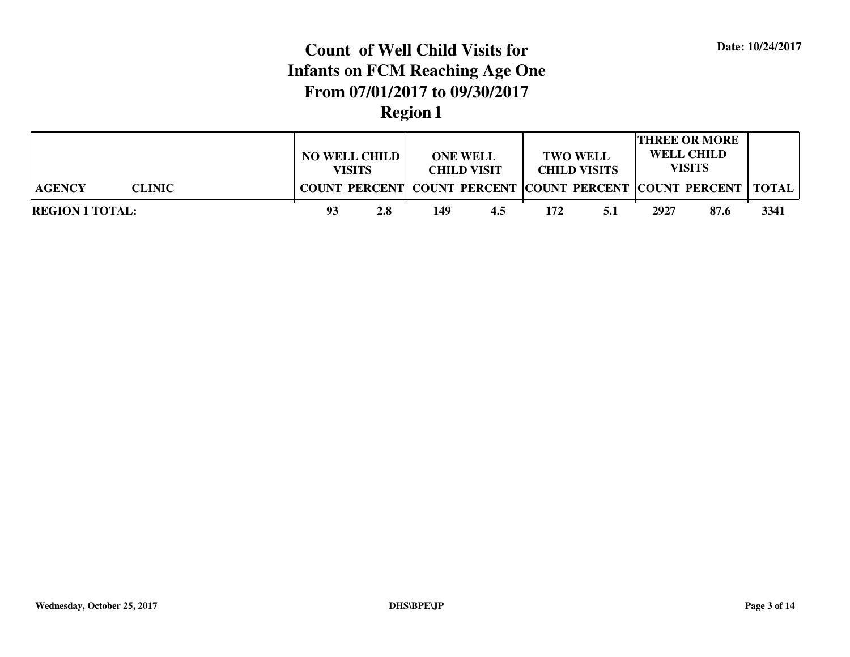|                                | <b>NO WELL CHILD</b><br><b>VISITS</b> |     | <b>ONE WELL</b><br><b>CHILD VISIT</b> |                                                                 |     | <b>TWO WELL</b><br><b>CHILD VISITS</b> | <b>THREE OR MORE</b><br><b>WELL CHILD</b><br><b>VISITS</b> |      |      |
|--------------------------------|---------------------------------------|-----|---------------------------------------|-----------------------------------------------------------------|-----|----------------------------------------|------------------------------------------------------------|------|------|
| <b>AGENCY</b><br><b>CLINIC</b> |                                       |     |                                       | COUNT PERCENT COUNT PERCENT COUNT PERCENT COUNT PERCENT   TOTAL |     |                                        |                                                            |      |      |
| <b>REGION 1 TOTAL:</b>         | 93                                    | 2.8 | 149                                   | 4.5                                                             | 172 | 5.1                                    | 2927                                                       | 87.6 | 3341 |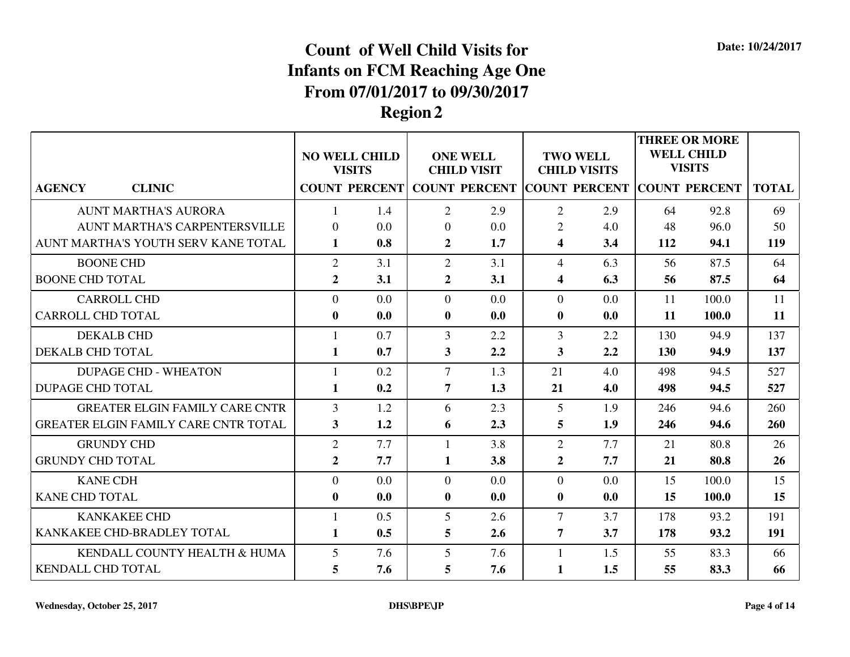|                                             |                         | <b>NO WELL CHILD</b><br><b>VISITS</b> |                         | <b>ONE WELL</b><br><b>CHILD VISIT</b> |                         | <b>TWO WELL</b><br><b>CHILD VISITS</b>           |     | <b>THREE OR MORE</b><br><b>WELL CHILD</b><br><b>VISITS</b> |              |
|---------------------------------------------|-------------------------|---------------------------------------|-------------------------|---------------------------------------|-------------------------|--------------------------------------------------|-----|------------------------------------------------------------|--------------|
| <b>AGENCY</b><br><b>CLINIC</b>              |                         | <b>COUNT PERCENT</b>                  |                         |                                       |                         | <b>COUNT PERCENT COUNT PERCENT COUNT PERCENT</b> |     |                                                            | <b>TOTAL</b> |
| <b>AUNT MARTHA'S AURORA</b>                 |                         | 1.4                                   | $\overline{2}$          | 2.9                                   | 2                       | 2.9                                              | 64  | 92.8                                                       | 69           |
| <b>AUNT MARTHA'S CARPENTERSVILLE</b>        | $\theta$                | 0.0                                   | $\overline{0}$          | 0.0                                   | $\overline{2}$          | 4.0                                              | 48  | 96.0                                                       | 50           |
| AUNT MARTHA'S YOUTH SERV KANE TOTAL         | 1                       | 0.8                                   | $\overline{2}$          | 1.7                                   | $\overline{\mathbf{4}}$ | 3.4                                              | 112 | 94.1                                                       | 119          |
| <b>BOONE CHD</b>                            | $\overline{2}$          | 3.1                                   | 2                       | 3.1                                   | $\overline{4}$          | 6.3                                              | 56  | 87.5                                                       | 64           |
| <b>BOONE CHD TOTAL</b>                      | $\overline{2}$          | 3.1                                   | $\overline{2}$          | 3.1                                   | $\overline{\mathbf{4}}$ | 6.3                                              | 56  | 87.5                                                       | 64           |
| <b>CARROLL CHD</b>                          | $\Omega$                | 0.0                                   | $\theta$                | 0.0                                   | $\Omega$                | 0.0                                              | 11  | 100.0                                                      | 11           |
| <b>CARROLL CHD TOTAL</b>                    | $\bf{0}$                | 0.0                                   | $\bf{0}$                | 0.0                                   | $\boldsymbol{0}$        | 0.0                                              | 11  | 100.0                                                      | 11           |
| <b>DEKALB CHD</b>                           | $\mathbf{1}$            | 0.7                                   | 3                       | 2.2                                   | 3                       | 2.2                                              | 130 | 94.9                                                       | 137          |
| <b>DEKALB CHD TOTAL</b>                     | 1                       | 0.7                                   | $\overline{\mathbf{3}}$ | 2.2                                   | $\overline{\mathbf{3}}$ | 2.2                                              | 130 | 94.9                                                       | 137          |
| <b>DUPAGE CHD - WHEATON</b>                 | $\mathbf{1}$            | 0.2                                   | $\overline{7}$          | 1.3                                   | 21                      | 4.0                                              | 498 | 94.5                                                       | 527          |
| <b>DUPAGE CHD TOTAL</b>                     | $\mathbf{1}$            | 0.2                                   | 7                       | 1.3                                   | 21                      | 4.0                                              | 498 | 94.5                                                       | 527          |
| <b>GREATER ELGIN FAMILY CARE CNTR</b>       | $\overline{3}$          | 1.2                                   | 6                       | 2.3                                   | 5                       | 1.9                                              | 246 | 94.6                                                       | 260          |
| <b>GREATER ELGIN FAMILY CARE CNTR TOTAL</b> | $\overline{\mathbf{3}}$ | 1.2                                   | 6                       | 2.3                                   | 5                       | 1.9                                              | 246 | 94.6                                                       | 260          |
| <b>GRUNDY CHD</b>                           | $\overline{2}$          | 7.7                                   | 1                       | 3.8                                   | $\overline{2}$          | 7.7                                              | 21  | 80.8                                                       | 26           |
| <b>GRUNDY CHD TOTAL</b>                     | $\overline{2}$          | 7.7                                   | $\mathbf{1}$            | 3.8                                   | $\overline{2}$          | 7.7                                              | 21  | 80.8                                                       | 26           |
| <b>KANE CDH</b>                             | $\overline{0}$          | 0.0                                   | $\overline{0}$          | 0.0                                   | $\overline{0}$          | 0.0                                              | 15  | 100.0                                                      | 15           |
| <b>KANE CHD TOTAL</b>                       | $\bf{0}$                | 0.0                                   | $\bf{0}$                | 0.0                                   | $\boldsymbol{0}$        | 0.0                                              | 15  | 100.0                                                      | 15           |
| <b>KANKAKEE CHD</b>                         |                         | 0.5                                   | 5                       | 2.6                                   | $\tau$                  | 3.7                                              | 178 | 93.2                                                       | 191          |
| KANKAKEE CHD-BRADLEY TOTAL                  | $\mathbf{1}$            | 0.5                                   | 5                       | 2.6                                   | $\overline{7}$          | 3.7                                              | 178 | 93.2                                                       | 191          |
| KENDALL COUNTY HEALTH & HUMA                | 5                       | 7.6                                   | 5                       | 7.6                                   | $\mathbf{1}$            | 1.5                                              | 55  | 83.3                                                       | 66           |
| <b>KENDALL CHD TOTAL</b>                    | 5                       | 7.6                                   | 5                       | 7.6                                   | 1                       | 1.5                                              | 55  | 83.3                                                       | 66           |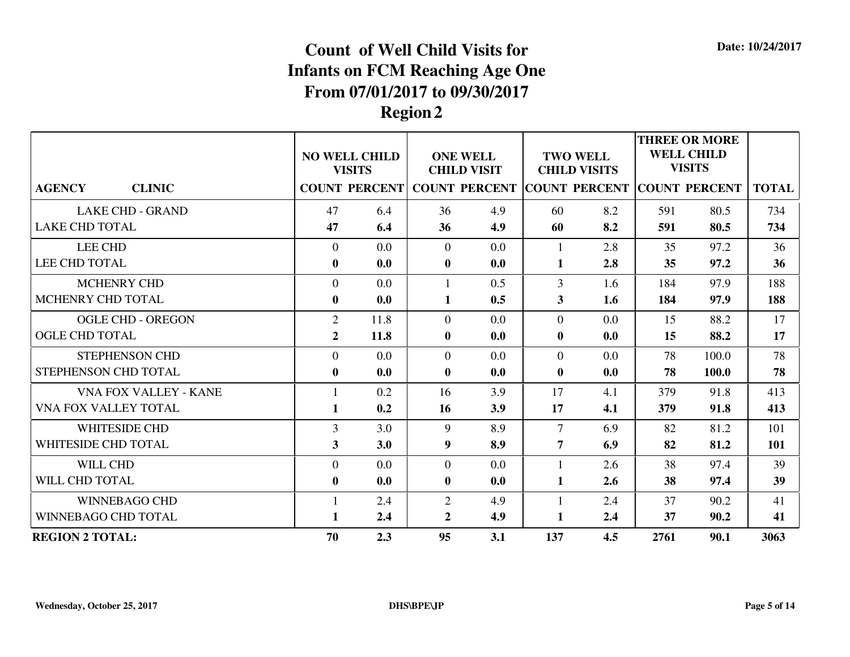|                                |                | <b>NO WELL CHILD</b><br><b>VISITS</b> |                | <b>ONE WELL</b><br><b>CHILD VISIT</b>     |                  | <b>TWO WELL</b><br><b>CHILD VISITS</b> |      | <b>THREE OR MORE</b><br><b>WELL CHILD</b><br><b>VISITS</b> |              |
|--------------------------------|----------------|---------------------------------------|----------------|-------------------------------------------|------------------|----------------------------------------|------|------------------------------------------------------------|--------------|
| <b>CLINIC</b><br><b>AGENCY</b> |                | <b>COUNT PERCENT</b>                  |                | COUNT PERCENT COUNT PERCENT COUNT PERCENT |                  |                                        |      |                                                            | <b>TOTAL</b> |
| <b>LAKE CHD - GRAND</b>        | 47             | 6.4                                   | 36             | 4.9                                       | 60               | 8.2                                    | 591  | 80.5                                                       | 734          |
| <b>LAKE CHD TOTAL</b>          | 47             | 6.4                                   | 36             | 4.9                                       | 60               | 8.2                                    | 591  | 80.5                                                       | 734          |
| <b>LEE CHD</b>                 | $\overline{0}$ | 0.0                                   | $\overline{0}$ | 0.0                                       | $\mathbf{1}$     | 2.8                                    | 35   | 97.2                                                       | 36           |
| <b>LEE CHD TOTAL</b>           | $\bf{0}$       | 0.0                                   | $\bf{0}$       | 0.0                                       | $\mathbf{1}$     | 2.8                                    | 35   | 97.2                                                       | 36           |
| MCHENRY CHD                    | $\overline{0}$ | 0.0                                   | 1              | 0.5                                       | 3                | 1.6                                    | 184  | 97.9                                                       | 188          |
| MCHENRY CHD TOTAL              | $\bf{0}$       | 0.0                                   | 1              | 0.5                                       | 3                | 1.6                                    | 184  | 97.9                                                       | 188          |
| <b>OGLE CHD - OREGON</b>       | $\overline{2}$ | 11.8                                  | $\theta$       | 0.0                                       | $\Omega$         | 0.0                                    | 15   | 88.2                                                       | 17           |
| <b>OGLE CHD TOTAL</b>          | $\overline{2}$ | 11.8                                  | $\bf{0}$       | 0.0                                       | $\boldsymbol{0}$ | 0.0                                    | 15   | 88.2                                                       | 17           |
| <b>STEPHENSON CHD</b>          | $\Omega$       | 0.0                                   | $\Omega$       | 0.0                                       | $\Omega$         | 0.0                                    | 78   | 100.0                                                      | 78           |
| STEPHENSON CHD TOTAL           | $\bf{0}$       | 0.0                                   | $\bf{0}$       | 0.0                                       | $\bf{0}$         | 0.0                                    | 78   | 100.0                                                      | 78           |
| VNA FOX VALLEY - KANE          |                | 0.2                                   | 16             | 3.9                                       | 17               | 4.1                                    | 379  | 91.8                                                       | 413          |
| VNA FOX VALLEY TOTAL           | 1              | 0.2                                   | 16             | 3.9                                       | 17               | 4.1                                    | 379  | 91.8                                                       | 413          |
| <b>WHITESIDE CHD</b>           | $\overline{3}$ | 3.0                                   | 9              | 8.9                                       | $\overline{7}$   | 6.9                                    | 82   | 81.2                                                       | 101          |
| WHITESIDE CHD TOTAL            | 3              | 3.0                                   | 9              | 8.9                                       | 7                | 6.9                                    | 82   | 81.2                                                       | 101          |
| WILL CHD                       | $\overline{0}$ | 0.0                                   | $\theta$       | 0.0                                       | $\mathbf{1}$     | 2.6                                    | 38   | 97.4                                                       | 39           |
| WILL CHD TOTAL                 | $\bf{0}$       | 0.0                                   | $\bf{0}$       | 0.0                                       | $\mathbf{1}$     | 2.6                                    | 38   | 97.4                                                       | 39           |
| <b>WINNEBAGO CHD</b>           |                | 2.4                                   | $\overline{2}$ | 4.9                                       | 1                | 2.4                                    | 37   | 90.2                                                       | 41           |
| WINNEBAGO CHD TOTAL            | 1              | 2.4                                   | $\mathbf{2}$   | 4.9                                       | 1                | $2.4\phantom{0}$                       | 37   | 90.2                                                       | 41           |
| <b>REGION 2 TOTAL:</b>         | 70             | 2.3                                   | 95             | 3.1                                       | 137              | 4.5                                    | 2761 | 90.1                                                       | 3063         |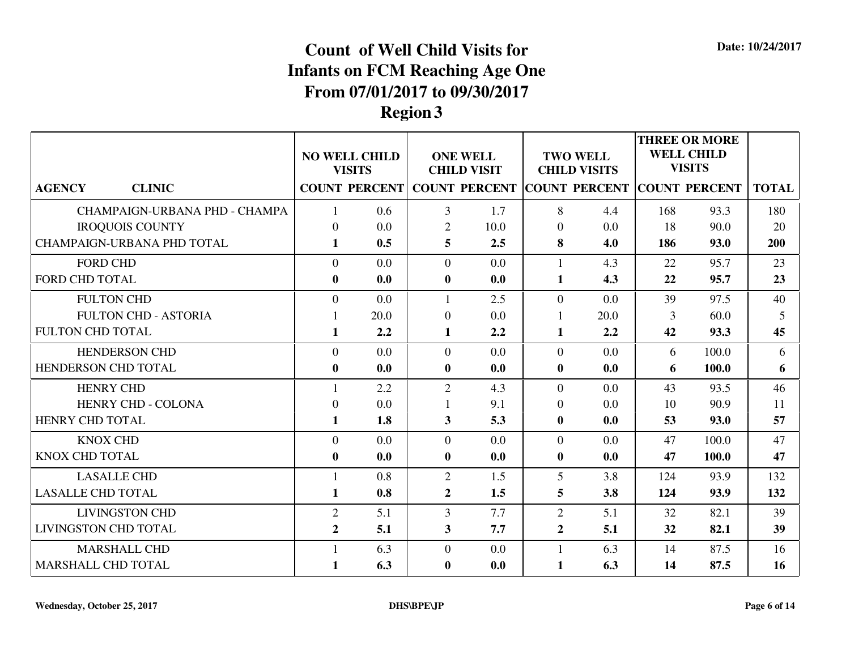|                                |                  | <b>NO WELL CHILD</b><br><b>VISITS</b> |                         | <b>ONE WELL</b><br><b>CHILD VISIT</b> |                  | <b>TWO WELL</b><br><b>CHILD VISITS</b>    |     | <b>THREE OR MORE</b><br><b>WELL CHILD</b><br><b>VISITS</b> |              |
|--------------------------------|------------------|---------------------------------------|-------------------------|---------------------------------------|------------------|-------------------------------------------|-----|------------------------------------------------------------|--------------|
| <b>AGENCY</b><br><b>CLINIC</b> |                  | <b>COUNT PERCENT</b>                  |                         |                                       |                  | COUNT PERCENT COUNT PERCENT COUNT PERCENT |     |                                                            | <b>TOTAL</b> |
| CHAMPAIGN-URBANA PHD - CHAMPA  |                  | 0.6                                   | 3                       | 1.7                                   | 8                | 4.4                                       | 168 | 93.3                                                       | 180          |
| <b>IROQUOIS COUNTY</b>         | $\Omega$         | 0.0                                   | $\overline{2}$          | 10.0                                  | $\overline{0}$   | 0.0                                       | 18  | 90.0                                                       | 20           |
| CHAMPAIGN-URBANA PHD TOTAL     | $\mathbf{1}$     | 0.5                                   | 5                       | 2.5                                   | 8                | 4.0                                       | 186 | 93.0                                                       | 200          |
| <b>FORD CHD</b>                | $\overline{0}$   | 0.0                                   | $\overline{0}$          | 0.0                                   | $\mathbf{1}$     | 4.3                                       | 22  | 95.7                                                       | 23           |
| <b>FORD CHD TOTAL</b>          | $\bf{0}$         | 0.0                                   | $\bf{0}$                | 0.0                                   | $\mathbf{1}$     | 4.3                                       | 22  | 95.7                                                       | 23           |
| <b>FULTON CHD</b>              | $\overline{0}$   | 0.0                                   |                         | 2.5                                   | $\Omega$         | 0.0                                       | 39  | 97.5                                                       | 40           |
| <b>FULTON CHD - ASTORIA</b>    |                  | 20.0                                  | $\boldsymbol{0}$        | 0.0                                   | $\mathbf{1}$     | 20.0                                      | 3   | 60.0                                                       | 5            |
| <b>FULTON CHD TOTAL</b>        | $\mathbf{1}$     | 2.2                                   | $\mathbf{1}$            | 2.2                                   | $\mathbf{1}$     | 2.2                                       | 42  | 93.3                                                       | 45           |
| <b>HENDERSON CHD</b>           | $\overline{0}$   | 0.0                                   | $\overline{0}$          | 0.0                                   | $\overline{0}$   | 0.0                                       | 6   | 100.0                                                      | 6            |
| HENDERSON CHD TOTAL            | $\boldsymbol{0}$ | 0.0                                   | $\bf{0}$                | 0.0                                   | $\boldsymbol{0}$ | 0.0                                       | 6   | 100.0                                                      | 6            |
| <b>HENRY CHD</b>               | $\mathbf{1}$     | 2.2                                   | $\overline{2}$          | 4.3                                   | $\Omega$         | 0.0                                       | 43  | 93.5                                                       | 46           |
| HENRY CHD - COLONA             | $\boldsymbol{0}$ | 0.0                                   |                         | 9.1                                   | $\mathbf{0}$     | 0.0                                       | 10  | 90.9                                                       | 11           |
| HENRY CHD TOTAL                | $\mathbf{1}$     | 1.8                                   | $\overline{\mathbf{3}}$ | 5.3                                   | $\bf{0}$         | 0.0                                       | 53  | 93.0                                                       | 57           |
| <b>KNOX CHD</b>                | $\Omega$         | 0.0                                   | $\theta$                | 0.0                                   | $\Omega$         | 0.0                                       | 47  | 100.0                                                      | 47           |
| <b>KNOX CHD TOTAL</b>          | $\bf{0}$         | 0.0                                   | $\bf{0}$                | 0.0                                   | $\bf{0}$         | 0.0                                       | 47  | 100.0                                                      | 47           |
| <b>LASALLE CHD</b>             |                  | 0.8                                   | $\overline{2}$          | 1.5                                   | 5                | 3.8                                       | 124 | 93.9                                                       | 132          |
| <b>LASALLE CHD TOTAL</b>       | $\mathbf{1}$     | 0.8                                   | $\overline{2}$          | 1.5                                   | 5                | 3.8                                       | 124 | 93.9                                                       | 132          |
| <b>LIVINGSTON CHD</b>          | $\overline{2}$   | 5.1                                   | $\overline{3}$          | 7.7                                   | $\overline{2}$   | 5.1                                       | 32  | 82.1                                                       | 39           |
| <b>LIVINGSTON CHD TOTAL</b>    | $\overline{2}$   | 5.1                                   | 3                       | 7.7                                   | $\mathbf{2}$     | 5.1                                       | 32  | 82.1                                                       | 39           |
| <b>MARSHALL CHD</b>            | $\mathbf{1}$     | 6.3                                   | $\overline{0}$          | 0.0                                   | $\mathbf{1}$     | 6.3                                       | 14  | 87.5                                                       | 16           |
| MARSHALL CHD TOTAL             | $\mathbf{1}$     | 6.3                                   | $\bf{0}$                | 0.0                                   | 1                | 6.3                                       | 14  | 87.5                                                       | 16           |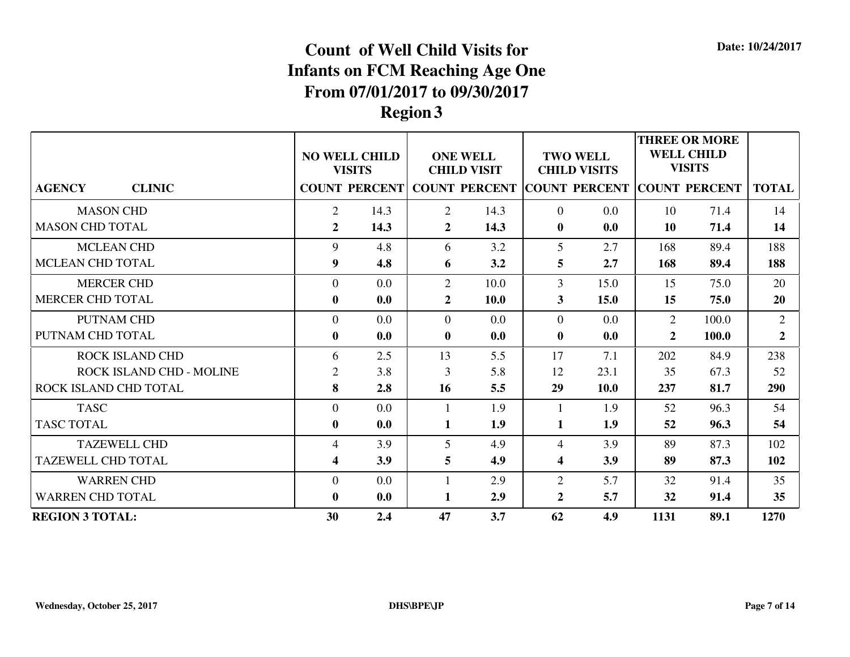|                                 | <b>ONE WELL</b><br><b>NO WELL CHILD</b><br><b>VISITS</b><br><b>CHILD VISIT</b><br>COUNT PERCENT COUNT PERCENT COUNT PERCENT COUNT PERCENT |      |                | <b>TWO WELL</b><br><b>CHILD VISITS</b> |                         | <b>THREE OR MORE</b><br><b>WELL CHILD</b><br><b>VISITS</b> |                |       |                |
|---------------------------------|-------------------------------------------------------------------------------------------------------------------------------------------|------|----------------|----------------------------------------|-------------------------|------------------------------------------------------------|----------------|-------|----------------|
| <b>CLINIC</b><br><b>AGENCY</b>  |                                                                                                                                           |      |                |                                        |                         |                                                            |                |       | <b>TOTAL</b>   |
| <b>MASON CHD</b>                | $\overline{2}$                                                                                                                            | 14.3 | 2              | 14.3                                   | $\Omega$                | 0.0                                                        | 10             | 71.4  | 14             |
| <b>MASON CHD TOTAL</b>          | $\overline{2}$                                                                                                                            | 14.3 | $\mathbf{2}$   | 14.3                                   | $\bf{0}$                | 0.0                                                        | 10             | 71.4  | 14             |
| <b>MCLEAN CHD</b>               | 9                                                                                                                                         | 4.8  | 6              | 3.2                                    | 5                       | 2.7                                                        | 168            | 89.4  | 188            |
| <b>MCLEAN CHD TOTAL</b>         | 9                                                                                                                                         | 4.8  | 6              | 3.2                                    | 5                       | 2.7                                                        | 168            | 89.4  | 188            |
| <b>MERCER CHD</b>               | $\overline{0}$                                                                                                                            | 0.0  | $\overline{2}$ | 10.0                                   | 3                       | 15.0                                                       | 15             | 75.0  | 20             |
| MERCER CHD TOTAL                | $\bf{0}$                                                                                                                                  | 0.0  | $\overline{2}$ | <b>10.0</b>                            | 3                       | 15.0                                                       | 15             | 75.0  | 20             |
| PUTNAM CHD                      | $\overline{0}$                                                                                                                            | 0.0  | $\overline{0}$ | 0.0                                    | $\Omega$                | 0.0                                                        | $\overline{2}$ | 100.0 | 2              |
| PUTNAM CHD TOTAL                | $\bf{0}$                                                                                                                                  | 0.0  | $\bf{0}$       | 0.0                                    | $\bf{0}$                | 0.0                                                        | $\overline{2}$ | 100.0 | $\overline{2}$ |
| ROCK ISLAND CHD                 | 6                                                                                                                                         | 2.5  | 13             | 5.5                                    | 17                      | 7.1                                                        | 202            | 84.9  | 238            |
| <b>ROCK ISLAND CHD - MOLINE</b> | $\overline{2}$                                                                                                                            | 3.8  | 3              | 5.8                                    | 12                      | 23.1                                                       | 35             | 67.3  | 52             |
| ROCK ISLAND CHD TOTAL           | 8                                                                                                                                         | 2.8  | 16             | 5.5                                    | 29                      | <b>10.0</b>                                                | 237            | 81.7  | 290            |
| <b>TASC</b>                     | $\overline{0}$                                                                                                                            | 0.0  | 1              | 1.9                                    | -1                      | 1.9                                                        | 52             | 96.3  | 54             |
| <b>TASC TOTAL</b>               | $\bf{0}$                                                                                                                                  | 0.0  | $\mathbf{1}$   | 1.9                                    | $\mathbf{1}$            | 1.9                                                        | 52             | 96.3  | 54             |
| <b>TAZEWELL CHD</b>             | 4                                                                                                                                         | 3.9  | 5              | 4.9                                    | $\overline{4}$          | 3.9                                                        | 89             | 87.3  | 102            |
| <b>TAZEWELL CHD TOTAL</b>       | 4                                                                                                                                         | 3.9  | 5              | 4.9                                    | $\overline{\mathbf{4}}$ | 3.9                                                        | 89             | 87.3  | 102            |
| <b>WARREN CHD</b>               | $\overline{0}$                                                                                                                            | 0.0  | $\mathbf{1}$   | 2.9                                    | $\overline{2}$          | 5.7                                                        | 32             | 91.4  | 35             |
| <b>WARREN CHD TOTAL</b>         | $\bf{0}$                                                                                                                                  | 0.0  | 1              | 2.9                                    | $\overline{2}$          | 5.7                                                        | 32             | 91.4  | 35             |
| <b>REGION 3 TOTAL:</b>          | 30                                                                                                                                        | 2.4  | 47             | 3.7                                    | 62                      | 4.9                                                        | 1131           | 89.1  | 1270           |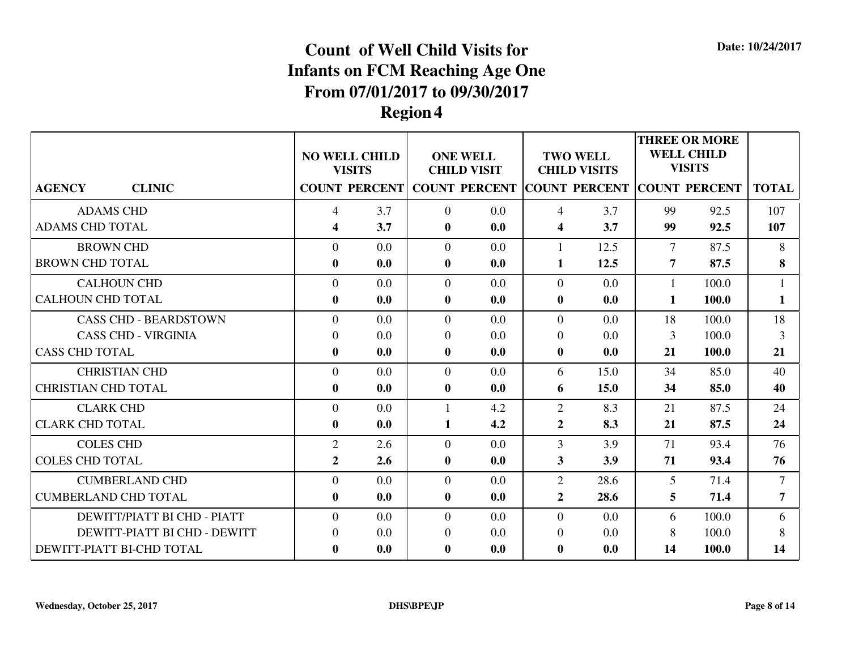|                                |                         | <b>NO WELL CHILD</b><br><b>VISITS</b> |                | <b>ONE WELL</b><br><b>CHILD VISIT</b> |                         | <b>TWO WELL</b><br><b>CHILD VISITS</b>                          |                | <b>THREE OR MORE</b><br><b>WELL CHILD</b><br><b>VISITS</b> |                |
|--------------------------------|-------------------------|---------------------------------------|----------------|---------------------------------------|-------------------------|-----------------------------------------------------------------|----------------|------------------------------------------------------------|----------------|
| <b>CLINIC</b><br><b>AGENCY</b> |                         |                                       |                |                                       |                         | COUNT PERCENT COUNT PERCENT COUNT PERCENT COUNT PERCENT   TOTAL |                |                                                            |                |
| <b>ADAMS CHD</b>               | $\overline{4}$          | 3.7                                   | $\overline{0}$ | 0.0                                   | 4                       | 3.7                                                             | 99             | 92.5                                                       | 107            |
| <b>ADAMS CHD TOTAL</b>         | $\overline{\mathbf{4}}$ | 3.7                                   | $\mathbf{0}$   | 0.0                                   | $\overline{\mathbf{4}}$ | 3.7                                                             | 99             | 92.5                                                       | 107            |
| <b>BROWN CHD</b>               | $\theta$                | 0.0                                   | $\Omega$       | 0.0                                   | $\mathbf{1}$            | 12.5                                                            | $\tau$         | 87.5                                                       | 8              |
| <b>BROWN CHD TOTAL</b>         | $\bf{0}$                | 0.0                                   | $\bf{0}$       | 0.0                                   | 1                       | 12.5                                                            | $\overline{7}$ | 87.5                                                       | 8              |
| <b>CALHOUN CHD</b>             | $\overline{0}$          | 0.0                                   | $\overline{0}$ | 0.0                                   | $\Omega$                | 0.0                                                             | 1              | 100.0                                                      |                |
| <b>CALHOUN CHD TOTAL</b>       | $\bf{0}$                | 0.0                                   | $\bf{0}$       | 0.0                                   | $\bf{0}$                | 0.0                                                             | 1              | 100.0                                                      | 1              |
| <b>CASS CHD - BEARDSTOWN</b>   | $\overline{0}$          | 0.0                                   | $\overline{0}$ | 0.0                                   | $\overline{0}$          | 0.0                                                             | 18             | 100.0                                                      | 18             |
| <b>CASS CHD - VIRGINIA</b>     | $\Omega$                | 0.0                                   | $\theta$       | 0.0                                   | $\Omega$                | 0.0                                                             | 3              | 100.0                                                      | 3              |
| <b>CASS CHD TOTAL</b>          | $\mathbf{0}$            | 0.0                                   | $\mathbf{0}$   | 0.0                                   | $\bf{0}$                | 0.0                                                             | 21             | 100.0                                                      | 21             |
| <b>CHRISTIAN CHD</b>           | $\theta$                | 0.0                                   | $\theta$       | 0.0                                   | 6                       | 15.0                                                            | 34             | 85.0                                                       | 40             |
| <b>CHRISTIAN CHD TOTAL</b>     | $\bf{0}$                | 0.0                                   | $\bf{0}$       | 0.0                                   | 6                       | 15.0                                                            | 34             | 85.0                                                       | 40             |
| <b>CLARK CHD</b>               | $\overline{0}$          | 0.0                                   | $\mathbf{1}$   | 4.2                                   | $\overline{2}$          | 8.3                                                             | 21             | 87.5                                                       | 24             |
| <b>CLARK CHD TOTAL</b>         | $\bf{0}$                | 0.0                                   | 1              | 4.2                                   | $\overline{2}$          | 8.3                                                             | 21             | 87.5                                                       | 24             |
| <b>COLES CHD</b>               | $\overline{2}$          | 2.6                                   | $\overline{0}$ | 0.0                                   | $\overline{3}$          | 3.9                                                             | 71             | 93.4                                                       | 76             |
| <b>COLES CHD TOTAL</b>         | $\overline{2}$          | 2.6                                   | $\mathbf{0}$   | 0.0                                   | 3                       | 3.9                                                             | 71             | 93.4                                                       | 76             |
| <b>CUMBERLAND CHD</b>          | $\Omega$                | 0.0                                   | $\overline{0}$ | 0.0                                   | $\overline{2}$          | 28.6                                                            | 5              | 71.4                                                       | $\overline{7}$ |
| <b>CUMBERLAND CHD TOTAL</b>    | $\bf{0}$                | 0.0                                   | $\bf{0}$       | 0.0                                   | $\overline{2}$          | 28.6                                                            | 5              | 71.4                                                       | 7              |
| DEWITT/PIATT BI CHD - PIATT    | $\overline{0}$          | 0.0                                   | $\overline{0}$ | 0.0                                   | $\overline{0}$          | 0.0                                                             | 6              | 100.0                                                      | 6              |
| DEWITT-PIATT BI CHD - DEWITT   | $\Omega$                | 0.0                                   | $\theta$       | 0.0                                   | $\overline{0}$          | 0.0                                                             | 8              | 100.0                                                      | 8              |
| DEWITT-PIATT BI-CHD TOTAL      | $\bf{0}$                | 0.0                                   | $\bf{0}$       | 0.0                                   | $\bf{0}$                | 0.0                                                             | 14             | 100.0                                                      | 14             |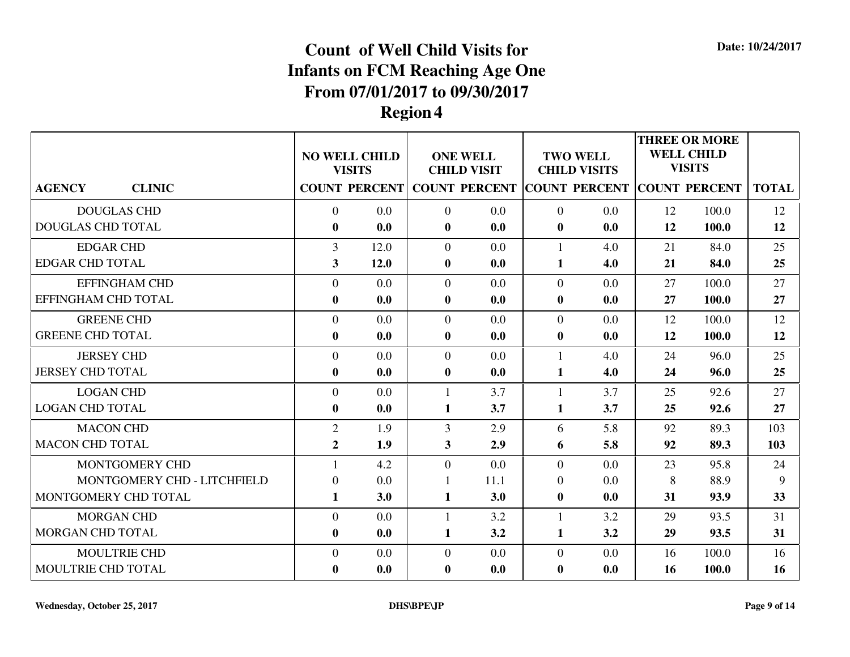|                                |                         | <b>NO WELL CHILD</b>                  |                | <b>ONE WELL</b>    |                  | <b>TWO WELL</b>                                                         |    | <b>THREE OR MORE</b><br><b>WELL CHILD</b><br><b>VISITS</b> |              |
|--------------------------------|-------------------------|---------------------------------------|----------------|--------------------|------------------|-------------------------------------------------------------------------|----|------------------------------------------------------------|--------------|
| <b>AGENCY</b><br><b>CLINIC</b> |                         | <b>VISITS</b><br><b>COUNT PERCENT</b> |                | <b>CHILD VISIT</b> |                  | <b>CHILD VISITS</b><br><b>COUNT PERCENT COUNT PERCENT COUNT PERCENT</b> |    |                                                            | <b>TOTAL</b> |
| <b>DOUGLAS CHD</b>             | $\Omega$                | 0.0                                   | $\overline{0}$ | 0.0                | $\theta$         | 0.0                                                                     | 12 | 100.0                                                      | 12           |
| <b>DOUGLAS CHD TOTAL</b>       | $\bf{0}$                | 0.0                                   | $\mathbf{0}$   | 0.0                | $\bf{0}$         | 0.0                                                                     | 12 | 100.0                                                      | 12           |
| <b>EDGAR CHD</b>               | 3                       | 12.0                                  | $\overline{0}$ | 0.0                | 1                | 4.0                                                                     | 21 | 84.0                                                       | 25           |
| <b>EDGAR CHD TOTAL</b>         | $\overline{\mathbf{3}}$ | 12.0                                  | $\bf{0}$       | 0.0                | 1                | 4.0                                                                     | 21 | 84.0                                                       | 25           |
| <b>EFFINGHAM CHD</b>           | $\overline{0}$          | 0.0                                   | $\overline{0}$ | 0.0                | $\overline{0}$   | 0.0                                                                     | 27 | 100.0                                                      | 27           |
| EFFINGHAM CHD TOTAL            | $\bf{0}$                | 0.0                                   | $\mathbf{0}$   | 0.0                | $\bf{0}$         | 0.0                                                                     | 27 | 100.0                                                      | 27           |
| <b>GREENE CHD</b>              | $\overline{0}$          | 0.0                                   | $\overline{0}$ | 0.0                | $\overline{0}$   | 0.0                                                                     | 12 | 100.0                                                      | 12           |
| <b>GREENE CHD TOTAL</b>        | $\boldsymbol{0}$        | 0.0                                   | $\bf{0}$       | 0.0                | $\boldsymbol{0}$ | 0.0                                                                     | 12 | 100.0                                                      | 12           |
| <b>JERSEY CHD</b>              | $\overline{0}$          | 0.0                                   | $\overline{0}$ | 0.0                | 1                | 4.0                                                                     | 24 | 96.0                                                       | 25           |
| <b>JERSEY CHD TOTAL</b>        | $\bf{0}$                | 0.0                                   | $\mathbf{0}$   | 0.0                | $\mathbf{1}$     | 4.0                                                                     | 24 | 96.0                                                       | 25           |
| <b>LOGAN CHD</b>               | $\overline{0}$          | 0.0                                   | $\mathbf{1}$   | 3.7                |                  | 3.7                                                                     | 25 | 92.6                                                       | 27           |
| <b>LOGAN CHD TOTAL</b>         | $\bf{0}$                | 0.0                                   | $\mathbf{1}$   | 3.7                | $\mathbf{1}$     | 3.7                                                                     | 25 | 92.6                                                       | 27           |
| <b>MACON CHD</b>               | 2                       | 1.9                                   | 3              | 2.9                | 6                | 5.8                                                                     | 92 | 89.3                                                       | 103          |
| <b>MACON CHD TOTAL</b>         | $\overline{2}$          | 1.9                                   | $\overline{3}$ | 2.9                | 6                | 5.8                                                                     | 92 | 89.3                                                       | 103          |
| MONTGOMERY CHD                 |                         | 4.2                                   | $\overline{0}$ | 0.0                | $\overline{0}$   | 0.0                                                                     | 23 | 95.8                                                       | 24           |
| MONTGOMERY CHD - LITCHFIELD    | $\overline{0}$          | 0.0                                   | $\mathbf{1}$   | 11.1               | $\overline{0}$   | 0.0                                                                     | 8  | 88.9                                                       | 9            |
| MONTGOMERY CHD TOTAL           | $\mathbf{1}$            | 3.0                                   | $\mathbf{1}$   | 3.0                | $\bf{0}$         | 0.0                                                                     | 31 | 93.9                                                       | 33           |
| <b>MORGAN CHD</b>              | $\theta$                | 0.0                                   | $\mathbf{1}$   | 3.2                | 1                | 3.2                                                                     | 29 | 93.5                                                       | 31           |
| MORGAN CHD TOTAL               | $\bf{0}$                | 0.0                                   | 1              | 3.2                | 1                | 3.2                                                                     | 29 | 93.5                                                       | 31           |
| <b>MOULTRIE CHD</b>            | $\overline{0}$          | 0.0                                   | $\overline{0}$ | 0.0                | $\mathbf{0}$     | 0.0                                                                     | 16 | 100.0                                                      | 16           |
| MOULTRIE CHD TOTAL             | $\bf{0}$                | 0.0                                   | $\bf{0}$       | 0.0                | $\bf{0}$         | 0.0                                                                     | 16 | 100.0                                                      | 16           |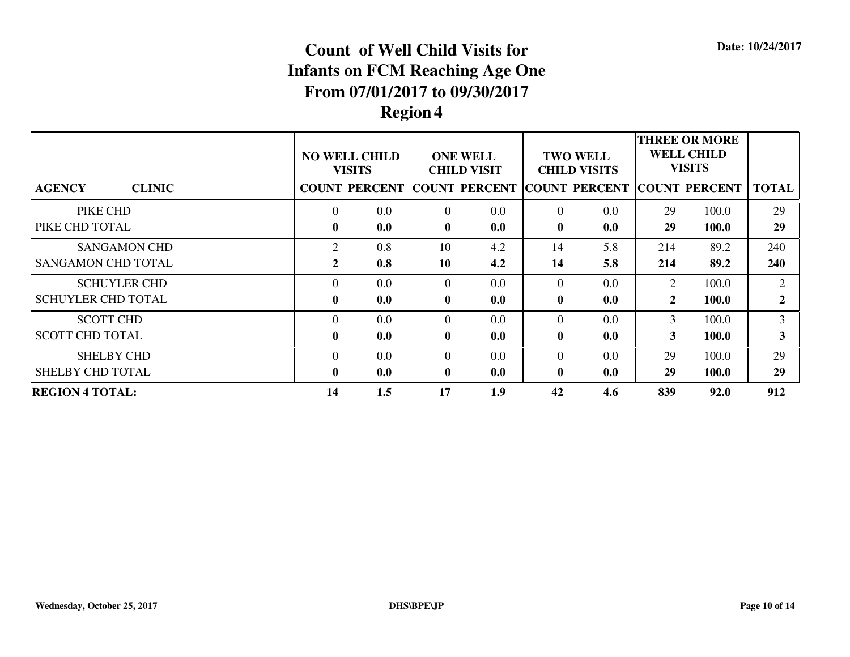|                                | <b>NO WELL CHILD</b><br><b>VISITS</b><br>COUNT PERCENT COUNT PERCENT COUNT PERCENT COUNT PERCENT |                  | <b>ONE WELL</b><br><b>CHILD VISIT</b> |     |              | <b>TWO WELL</b><br><b>CHILD VISITS</b> | <b>THREE OR MORE</b><br><b>WELL CHILD</b><br><b>VISITS</b> |              |                             |
|--------------------------------|--------------------------------------------------------------------------------------------------|------------------|---------------------------------------|-----|--------------|----------------------------------------|------------------------------------------------------------|--------------|-----------------------------|
| <b>CLINIC</b><br><b>AGENCY</b> |                                                                                                  |                  |                                       |     |              |                                        |                                                            |              | <b>TOTAL</b>                |
| PIKE CHD                       | $\theta$                                                                                         | 0.0              | $\overline{0}$                        | 0.0 | $\Omega$     | 0.0                                    | 29                                                         | 100.0        | 29                          |
| PIKE CHD TOTAL                 | $\mathbf{0}$                                                                                     | 0.0              | $\bf{0}$                              | 0.0 | $\mathbf{0}$ | 0.0                                    | 29                                                         | <b>100.0</b> | 29                          |
| <b>SANGAMON CHD</b>            | 2                                                                                                | 0.8              | 10                                    | 4.2 | 14           | 5.8                                    | 214                                                        | 89.2         | 240                         |
| <b>SANGAMON CHD TOTAL</b>      | $\mathbf{2}$                                                                                     | 0.8              | 10                                    | 4.2 | 14           | 5.8                                    | 214                                                        | 89.2         | 240                         |
| <b>SCHUYLER CHD</b>            | $\Omega$                                                                                         | 0.0 <sub>1</sub> | $\Omega$                              | 0.0 | $\Omega$     | 0.0                                    | 2                                                          | 100.0        | $\mathcal{D}_{\mathcal{L}}$ |
| <b>SCHUYLER CHD TOTAL</b>      | $\mathbf{0}$                                                                                     | 0.0              | $\mathbf{0}$                          | 0.0 | $\mathbf{0}$ | 0.0                                    | 2                                                          | <b>100.0</b> | 2                           |
| <b>SCOTT CHD</b>               | $\Omega$                                                                                         | 0.0 <sub>1</sub> | $\Omega$                              | 0.0 | $\Omega$     | 0.0                                    | 3                                                          | 100.0        | 3                           |
| <b>SCOTT CHD TOTAL</b>         | $\mathbf{0}$                                                                                     | 0.0              | $\bf{0}$                              | 0.0 | $\mathbf{0}$ | 0.0                                    | 3                                                          | <b>100.0</b> | 3                           |
| <b>SHELBY CHD</b>              | $\Omega$                                                                                         | 0.0 <sub>1</sub> | $\Omega$                              | 0.0 | $\Omega$     | 0.0                                    | 29                                                         | 100.0        | 29                          |
| <b>SHELBY CHD TOTAL</b>        | $\mathbf{0}$                                                                                     | 0.0              | $\bf{0}$                              | 0.0 | $\bf{0}$     | 0.0                                    | 29                                                         | <b>100.0</b> | 29                          |
| <b>REGION 4 TOTAL:</b>         | 14                                                                                               | 1.5              | 17                                    | 1.9 | 42           | 4.6                                    | 839                                                        | 92.0         | 912                         |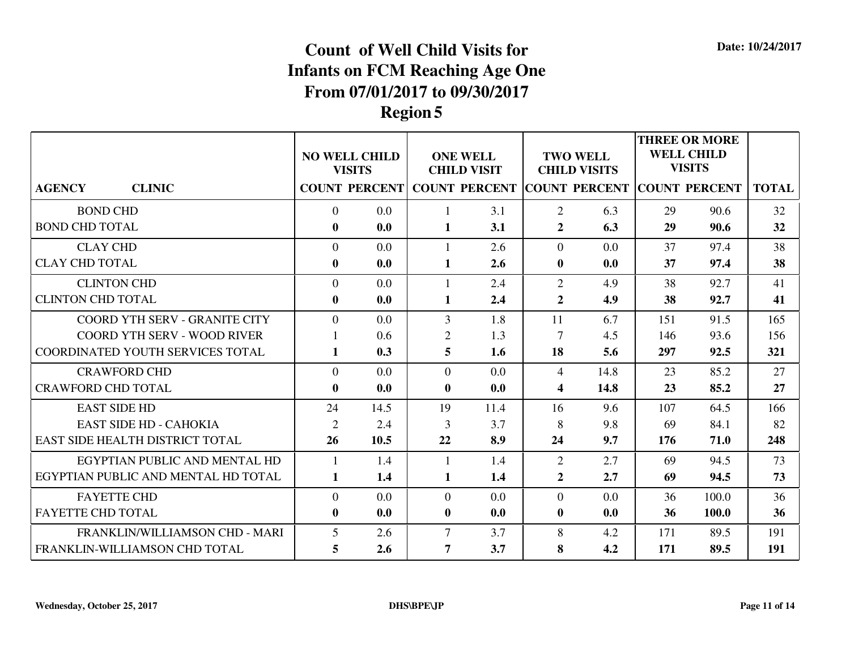|                                     |                | <b>NO WELL CHILD</b><br><b>VISITS</b> |                | <b>ONE WELL</b><br><b>CHILD VISIT</b> |                         | <b>TWO WELL</b><br><b>CHILD VISITS</b> |     | <b>THREE OR MORE</b><br><b>WELL CHILD</b><br><b>VISITS</b> |              |
|-------------------------------------|----------------|---------------------------------------|----------------|---------------------------------------|-------------------------|----------------------------------------|-----|------------------------------------------------------------|--------------|
| <b>CLINIC</b><br><b>AGENCY</b>      |                | <b>COUNT PERCENT</b>                  |                | <b>COUNT PERCENT COUNT PERCENT</b>    |                         |                                        |     | <b>COUNT PERCENT</b>                                       | <b>TOTAL</b> |
| <b>BOND CHD</b>                     | $\overline{0}$ | 0.0                                   | 1              | 3.1                                   | $\overline{2}$          | 6.3                                    | 29  | 90.6                                                       | 32           |
| <b>BOND CHD TOTAL</b>               | $\bf{0}$       | 0.0                                   | $\mathbf{1}$   | 3.1                                   | $\overline{2}$          | 6.3                                    | 29  | 90.6                                                       | 32           |
| <b>CLAY CHD</b>                     | $\Omega$       | 0.0                                   | 1              | 2.6                                   | $\Omega$                | 0.0                                    | 37  | 97.4                                                       | 38           |
| <b>CLAY CHD TOTAL</b>               | $\bf{0}$       | 0.0                                   | $\mathbf{1}$   | 2.6                                   | $\bf{0}$                | 0.0                                    | 37  | 97.4                                                       | 38           |
| <b>CLINTON CHD</b>                  | $\overline{0}$ | 0.0                                   | 1              | 2.4                                   | 2                       | 4.9                                    | 38  | 92.7                                                       | 41           |
| <b>CLINTON CHD TOTAL</b>            | $\bf{0}$       | 0.0                                   | 1              | 2.4                                   | $\overline{2}$          | 4.9                                    | 38  | 92.7                                                       | 41           |
| COORD YTH SERV - GRANITE CITY       | $\Omega$       | 0.0                                   | 3              | 1.8                                   | 11                      | 6.7                                    | 151 | 91.5                                                       | 165          |
| <b>COORD YTH SERV - WOOD RIVER</b>  |                | 0.6                                   | $\overline{2}$ | 1.3                                   | $\overline{7}$          | 4.5                                    | 146 | 93.6                                                       | 156          |
| COORDINATED YOUTH SERVICES TOTAL    | 1              | 0.3                                   | 5              | 1.6                                   | <b>18</b>               | 5.6                                    | 297 | 92.5                                                       | 321          |
| <b>CRAWFORD CHD</b>                 | $\Omega$       | 0.0                                   | $\theta$       | 0.0                                   | $\overline{4}$          | 14.8                                   | 23  | 85.2                                                       | 27           |
| <b>CRAWFORD CHD TOTAL</b>           | $\mathbf{0}$   | 0.0                                   | $\mathbf{0}$   | 0.0                                   | $\overline{\mathbf{4}}$ | 14.8                                   | 23  | 85.2                                                       | 27           |
| <b>EAST SIDE HD</b>                 | 24             | 14.5                                  | 19             | 11.4                                  | 16                      | 9.6                                    | 107 | 64.5                                                       | 166          |
| EAST SIDE HD - CAHOKIA              | $\overline{2}$ | 2.4                                   | 3              | 3.7                                   | 8                       | 9.8                                    | 69  | 84.1                                                       | 82           |
| EAST SIDE HEALTH DISTRICT TOTAL     | 26             | 10.5                                  | 22             | 8.9                                   | 24                      | 9.7                                    | 176 | 71.0                                                       | 248          |
| EGYPTIAN PUBLIC AND MENTAL HD       |                | 1.4                                   | 1              | 1.4                                   | $\overline{2}$          | 2.7                                    | 69  | 94.5                                                       | 73           |
| EGYPTIAN PUBLIC AND MENTAL HD TOTAL | 1              | 1.4                                   | 1              | 1.4                                   | $\overline{2}$          | 2.7                                    | 69  | 94.5                                                       | 73           |
| <b>FAYETTE CHD</b>                  | $\overline{0}$ | 0.0                                   | $\overline{0}$ | 0.0                                   | $\overline{0}$          | 0.0                                    | 36  | 100.0                                                      | 36           |
| <b>FAYETTE CHD TOTAL</b>            | $\mathbf{0}$   | 0.0                                   | $\bf{0}$       | 0.0                                   | $\bf{0}$                | 0.0                                    | 36  | 100.0                                                      | 36           |
| FRANKLIN/WILLIAMSON CHD - MARI      | 5              | 2.6                                   | $\overline{7}$ | 3.7                                   | 8                       | 4.2                                    | 171 | 89.5                                                       | 191          |
| FRANKLIN-WILLIAMSON CHD TOTAL       | 5              | 2.6                                   | 7              | 3.7                                   | 8                       | 4.2                                    | 171 | 89.5                                                       | 191          |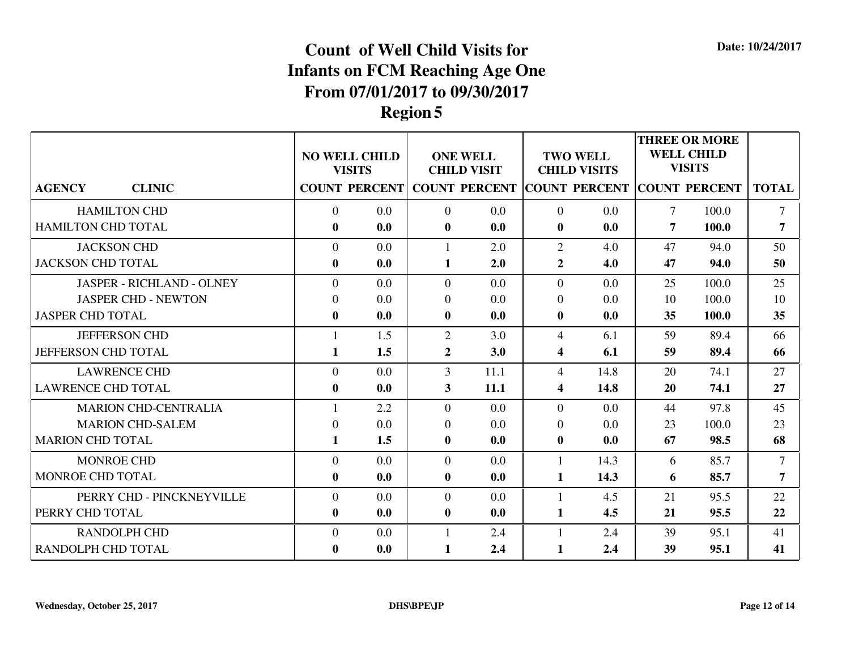|                                  |                | <b>NO WELL CHILD</b><br><b>VISITS</b> |                | <b>ONE WELL</b><br><b>CHILD VISIT</b> |                | <b>TWO WELL</b><br><b>CHILD VISITS</b> |                | <b>THREE OR MORE</b><br><b>WELL CHILD</b><br><b>VISITS</b> |              |
|----------------------------------|----------------|---------------------------------------|----------------|---------------------------------------|----------------|----------------------------------------|----------------|------------------------------------------------------------|--------------|
| <b>CLINIC</b><br><b>AGENCY</b>   |                | <b>COUNT PERCENT</b>                  |                | <b>COUNT PERCENT COUNT PERCENT</b>    |                |                                        |                | <b>COUNT PERCENT</b>                                       | <b>TOTAL</b> |
| <b>HAMILTON CHD</b>              | $\overline{0}$ | 0.0                                   | $\overline{0}$ | 0.0                                   | $\overline{0}$ | 0.0                                    | $\overline{7}$ | 100.0                                                      | $\tau$       |
| HAMILTON CHD TOTAL               | $\bf{0}$       | 0.0                                   | $\bf{0}$       | 0.0                                   | $\bf{0}$       | 0.0                                    | 7              | 100.0                                                      | 7            |
| <b>JACKSON CHD</b>               | $\Omega$       | 0.0                                   | 1              | 2.0                                   | 2              | 4.0                                    | 47             | 94.0                                                       | 50           |
| <b>JACKSON CHD TOTAL</b>         | $\bf{0}$       | 0.0                                   | 1              | 2.0                                   | $\overline{2}$ | 4.0                                    | 47             | 94.0                                                       | 50           |
| <b>JASPER - RICHLAND - OLNEY</b> | $\Omega$       | 0.0                                   | $\Omega$       | 0.0                                   | $\Omega$       | 0.0                                    | 25             | 100.0                                                      | 25           |
| <b>JASPER CHD - NEWTON</b>       | $\Omega$       | 0.0                                   | $\Omega$       | 0.0                                   | $\overline{0}$ | 0.0                                    | 10             | 100.0                                                      | 10           |
| <b>JASPER CHD TOTAL</b>          | $\mathbf{0}$   | 0.0                                   | $\bf{0}$       | 0.0                                   | $\mathbf{0}$   | 0.0                                    | 35             | 100.0                                                      | 35           |
| <b>JEFFERSON CHD</b>             |                | 1.5                                   | $\overline{2}$ | 3.0                                   | $\overline{4}$ | 6.1                                    | 59             | 89.4                                                       | 66           |
| <b>JEFFERSON CHD TOTAL</b>       | 1              | 1.5                                   | $\mathbf{2}$   | 3.0                                   | 4              | 6.1                                    | 59             | 89.4                                                       | 66           |
| <b>LAWRENCE CHD</b>              | $\Omega$       | 0.0                                   | $\overline{3}$ | 11.1                                  | $\overline{4}$ | 14.8                                   | 20             | 74.1                                                       | 27           |
| <b>LAWRENCE CHD TOTAL</b>        | $\bf{0}$       | 0.0                                   | 3              | 11.1                                  | 4              | 14.8                                   | 20             | 74.1                                                       | 27           |
| <b>MARION CHD-CENTRALIA</b>      |                | 2.2                                   | $\Omega$       | 0.0                                   | $\Omega$       | 0.0                                    | 44             | 97.8                                                       | 45           |
| <b>MARION CHD-SALEM</b>          | $\Omega$       | 0.0                                   | $\Omega$       | 0.0                                   | $\Omega$       | 0.0                                    | 23             | 100.0                                                      | 23           |
| <b>MARION CHD TOTAL</b>          | $\mathbf{1}$   | 1.5                                   | $\bf{0}$       | 0.0                                   | $\bf{0}$       | 0.0                                    | 67             | 98.5                                                       | 68           |
| <b>MONROE CHD</b>                | $\theta$       | 0.0                                   | $\overline{0}$ | 0.0                                   | $\mathbf{1}$   | 14.3                                   | 6              | 85.7                                                       | $\tau$       |
| <b>MONROE CHD TOTAL</b>          | $\bf{0}$       | 0.0                                   | $\mathbf{0}$   | 0.0                                   | 1              | 14.3                                   | 6              | 85.7                                                       | 7            |
| PERRY CHD - PINCKNEYVILLE        | $\overline{0}$ | 0.0                                   | $\overline{0}$ | 0.0                                   |                | 4.5                                    | 21             | 95.5                                                       | 22           |
| PERRY CHD TOTAL                  | $\bf{0}$       | 0.0                                   | $\mathbf{0}$   | 0.0                                   | $\mathbf{1}$   | 4.5                                    | 21             | 95.5                                                       | 22           |
| <b>RANDOLPH CHD</b>              | $\overline{0}$ | 0.0                                   | 1              | 2.4                                   |                | 2.4                                    | 39             | 95.1                                                       | 41           |
| RANDOLPH CHD TOTAL               | $\bf{0}$       | 0.0                                   | 1              | 2.4                                   | $\mathbf{1}$   | 2.4                                    | 39             | 95.1                                                       | 41           |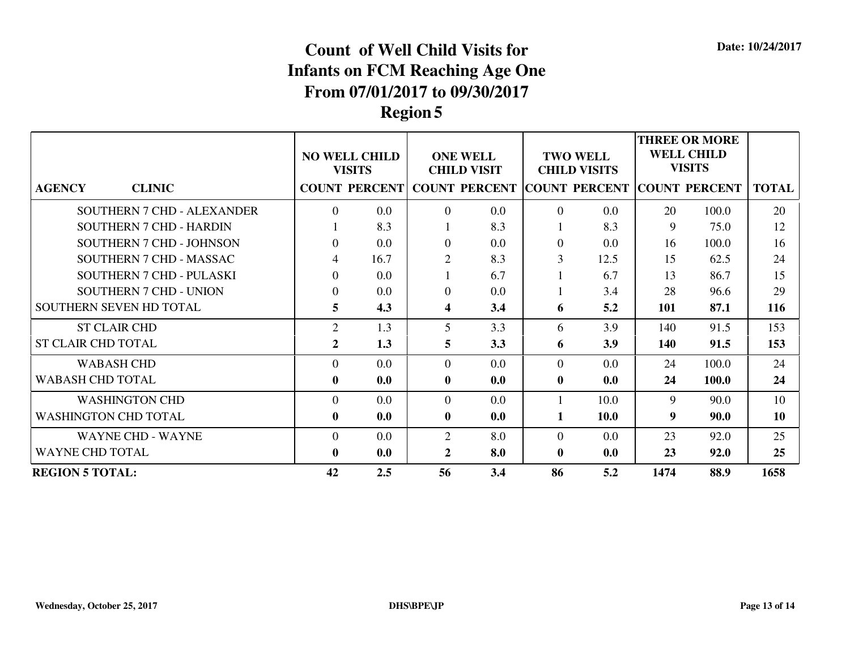|                                   | <b>NO WELL CHILD</b><br><b>VISITS</b> |         | <b>ONE WELL</b><br><b>CHILD VISIT</b> |                                                  | <b>TWO WELL</b><br><b>CHILD VISITS</b> |             | <b>THREE OR MORE</b><br><b>WELL CHILD</b><br><b>VISITS</b> |                      |              |
|-----------------------------------|---------------------------------------|---------|---------------------------------------|--------------------------------------------------|----------------------------------------|-------------|------------------------------------------------------------|----------------------|--------------|
| <b>CLINIC</b><br><b>AGENCY</b>    |                                       |         |                                       | <b>COUNT PERCENT COUNT PERCENT COUNT PERCENT</b> |                                        |             |                                                            | <b>COUNT PERCENT</b> | <b>TOTAL</b> |
| <b>SOUTHERN 7 CHD - ALEXANDER</b> | $\Omega$                              | 0.0     | $\Omega$                              | 0.0                                              | $\Omega$                               | $0.0\,$     | 20                                                         | 100.0                | 20           |
| <b>SOUTHERN 7 CHD - HARDIN</b>    |                                       | 8.3     |                                       | 8.3                                              |                                        | 8.3         | 9                                                          | 75.0                 | 12           |
| SOUTHERN 7 CHD - JOHNSON          | $\Omega$                              | 0.0     | $\overline{0}$                        | 0.0                                              | $\Omega$                               | 0.0         | 16                                                         | 100.0                | 16           |
| SOUTHERN 7 CHD - MASSAC           | 4                                     | 16.7    | $\overline{2}$                        | 8.3                                              | 3                                      | 12.5        | 15                                                         | 62.5                 | 24           |
| SOUTHERN 7 CHD - PULASKI          | $\overline{0}$                        | 0.0     |                                       | 6.7                                              |                                        | 6.7         | 13                                                         | 86.7                 | 15           |
| <b>SOUTHERN 7 CHD - UNION</b>     | $\Omega$                              | 0.0     | $\overline{0}$                        | 0.0                                              |                                        | 3.4         | 28                                                         | 96.6                 | 29           |
| SOUTHERN SEVEN HD TOTAL           | 5                                     | 4.3     | 4                                     | 3.4                                              | 6                                      | 5.2         | 101                                                        | 87.1                 | 116          |
| <b>ST CLAIR CHD</b>               | $\overline{2}$                        | 1.3     | 5                                     | 3.3                                              | 6                                      | 3.9         | 140                                                        | 91.5                 | 153          |
| <b>ST CLAIR CHD TOTAL</b>         | $\mathbf{2}$                          | 1.3     | 5                                     | 3.3                                              | 6                                      | 3.9         | 140                                                        | 91.5                 | 153          |
| <b>WABASH CHD</b>                 | $\Omega$                              | 0.0     | $\Omega$                              | 0.0                                              | $\Omega$                               | 0.0         | 24                                                         | 100.0                | 24           |
| <b>WABASH CHD TOTAL</b>           | $\bf{0}$                              | 0.0     | $\mathbf{0}$                          | 0.0                                              | $\bf{0}$                               | 0.0         | 24                                                         | 100.0                | 24           |
| <b>WASHINGTON CHD</b>             | $\Omega$                              | $0.0\,$ | $\Omega$                              | 0.0                                              |                                        | 10.0        | 9                                                          | 90.0                 | 10           |
| <b>WASHINGTON CHD TOTAL</b>       | $\bf{0}$                              | 0.0     | $\mathbf{0}$                          | 0.0                                              | 1                                      | <b>10.0</b> | 9                                                          | 90.0                 | 10           |
| <b>WAYNE CHD - WAYNE</b>          | $\overline{0}$                        | 0.0     | $\overline{2}$                        | 8.0                                              | $\Omega$                               | $0.0\,$     | 23                                                         | 92.0                 | 25           |
| <b>WAYNE CHD TOTAL</b>            | $\mathbf{0}$                          | 0.0     | 2                                     | 8.0                                              | $\bf{0}$                               | 0.0         | 23                                                         | 92.0                 | 25           |
| <b>REGION 5 TOTAL:</b>            | 42                                    | 2.5     | 56                                    | 3.4                                              | 86                                     | 5.2         | 1474                                                       | 88.9                 | 1658         |